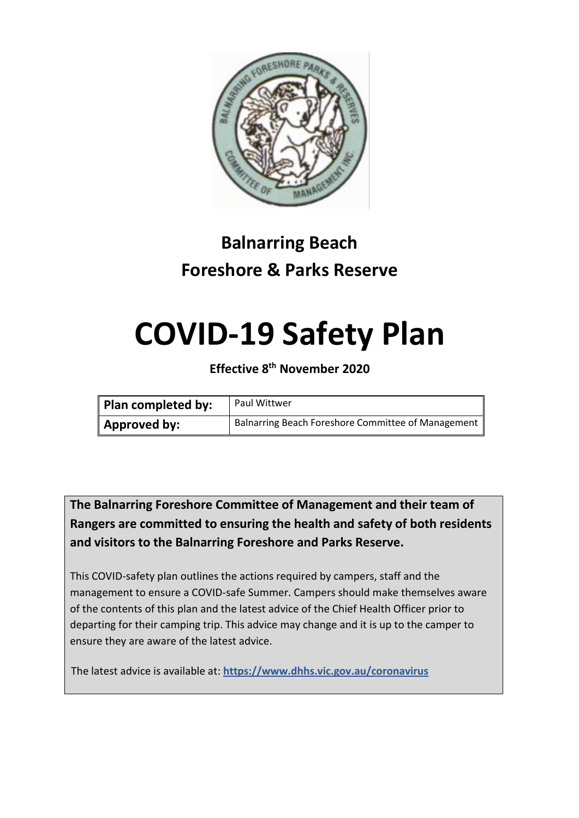

# **Balnarring Beach Foreshore & Parks Reserve**

# **COVID-19 Safety Plan**

**Effective 8 th November 2020**

| Plan completed by: | <b>Paul Wittwer</b>                                |
|--------------------|----------------------------------------------------|
| Approved by:       | Balnarring Beach Foreshore Committee of Management |

**The Balnarring Foreshore Committee of Management and their team of Rangers are committed to ensuring the health and safety of both residents and visitors to the Balnarring Foreshore and Parks Reserve.**

This COVID-safety plan outlines the actions required by campers, staff and the management to ensure a COVID-safe Summer. Campers should make themselves aware of the contents of this plan and the latest advice of the Chief Health Officer prior to departing for their camping trip. This advice may change and it is up to the camper to ensure they are aware of the latest advice.

The latest advice is available at: **https://www.dhhs.vic.gov.au/coronavirus**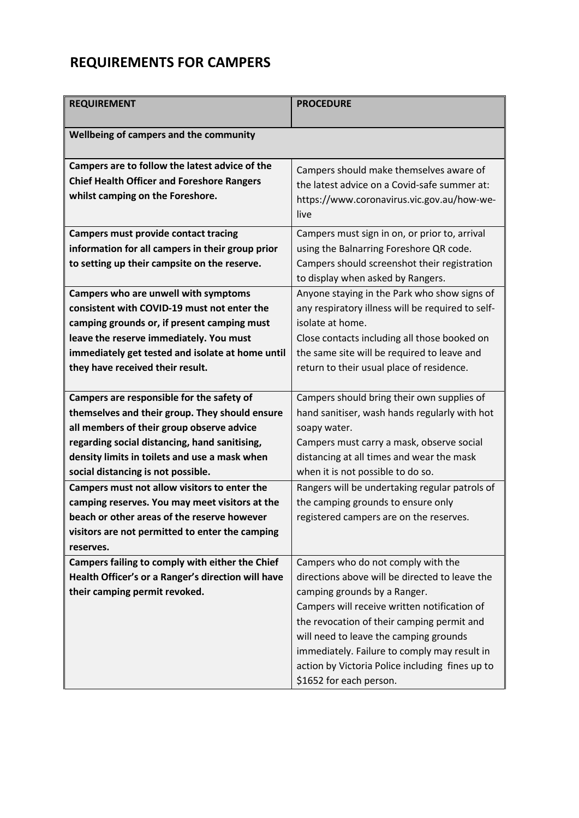## **REQUIREMENTS FOR CAMPERS**

| <b>REQUIREMENT</b>                                 | <b>PROCEDURE</b>                                  |
|----------------------------------------------------|---------------------------------------------------|
| Wellbeing of campers and the community             |                                                   |
| Campers are to follow the latest advice of the     | Campers should make themselves aware of           |
| <b>Chief Health Officer and Foreshore Rangers</b>  | the latest advice on a Covid-safe summer at:      |
| whilst camping on the Foreshore.                   | https://www.coronavirus.vic.gov.au/how-we-        |
|                                                    | live                                              |
| <b>Campers must provide contact tracing</b>        | Campers must sign in on, or prior to, arrival     |
| information for all campers in their group prior   | using the Balnarring Foreshore QR code.           |
| to setting up their campsite on the reserve.       | Campers should screenshot their registration      |
|                                                    | to display when asked by Rangers.                 |
| Campers who are unwell with symptoms               | Anyone staying in the Park who show signs of      |
| consistent with COVID-19 must not enter the        | any respiratory illness will be required to self- |
| camping grounds or, if present camping must        | isolate at home.                                  |
| leave the reserve immediately. You must            | Close contacts including all those booked on      |
| immediately get tested and isolate at home until   | the same site will be required to leave and       |
| they have received their result.                   | return to their usual place of residence.         |
| Campers are responsible for the safety of          | Campers should bring their own supplies of        |
| themselves and their group. They should ensure     | hand sanitiser, wash hands regularly with hot     |
| all members of their group observe advice          | soapy water.                                      |
| regarding social distancing, hand sanitising,      | Campers must carry a mask, observe social         |
| density limits in toilets and use a mask when      | distancing at all times and wear the mask         |
| social distancing is not possible.                 | when it is not possible to do so.                 |
| Campers must not allow visitors to enter the       | Rangers will be undertaking regular patrols of    |
| camping reserves. You may meet visitors at the     | the camping grounds to ensure only                |
| beach or other areas of the reserve however        | registered campers are on the reserves.           |
| visitors are not permitted to enter the camping    |                                                   |
| reserves.                                          |                                                   |
| Campers failing to comply with either the Chief    | Campers who do not comply with the                |
| Health Officer's or a Ranger's direction will have | directions above will be directed to leave the    |
| their camping permit revoked.                      | camping grounds by a Ranger.                      |
|                                                    | Campers will receive written notification of      |
|                                                    | the revocation of their camping permit and        |
|                                                    | will need to leave the camping grounds            |
|                                                    | immediately. Failure to comply may result in      |
|                                                    | action by Victoria Police including fines up to   |
|                                                    | \$1652 for each person.                           |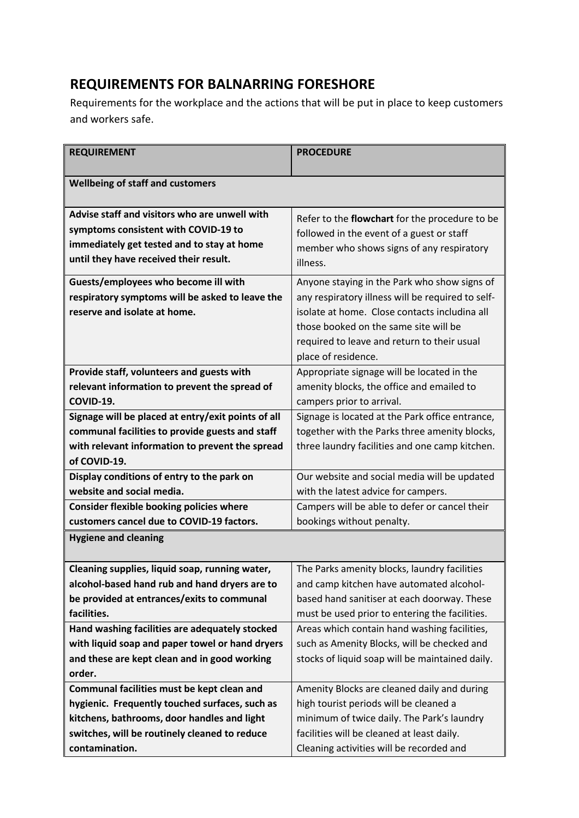### **REQUIREMENTS FOR BALNARRING FORESHORE**

Requirements for the workplace and the actions that will be put in place to keep customers and workers safe.

| <b>REQUIREMENT</b>                                 | <b>PROCEDURE</b>                                  |
|----------------------------------------------------|---------------------------------------------------|
|                                                    |                                                   |
| <b>Wellbeing of staff and customers</b>            |                                                   |
|                                                    |                                                   |
| Advise staff and visitors who are unwell with      | Refer to the flowchart for the procedure to be    |
| symptoms consistent with COVID-19 to               | followed in the event of a guest or staff         |
| immediately get tested and to stay at home         | member who shows signs of any respiratory         |
| until they have received their result.             | illness.                                          |
| Guests/employees who become ill with               | Anyone staying in the Park who show signs of      |
| respiratory symptoms will be asked to leave the    | any respiratory illness will be required to self- |
| reserve and isolate at home.                       | isolate at home. Close contacts includina all     |
|                                                    | those booked on the same site will be             |
|                                                    | required to leave and return to their usual       |
|                                                    | place of residence.                               |
| Provide staff, volunteers and guests with          | Appropriate signage will be located in the        |
| relevant information to prevent the spread of      | amenity blocks, the office and emailed to         |
| COVID-19.                                          | campers prior to arrival.                         |
| Signage will be placed at entry/exit points of all | Signage is located at the Park office entrance,   |
| communal facilities to provide guests and staff    | together with the Parks three amenity blocks,     |
| with relevant information to prevent the spread    | three laundry facilities and one camp kitchen.    |
| of COVID-19.                                       |                                                   |
| Display conditions of entry to the park on         | Our website and social media will be updated      |
| website and social media.                          | with the latest advice for campers.               |
| <b>Consider flexible booking policies where</b>    | Campers will be able to defer or cancel their     |
| customers cancel due to COVID-19 factors.          | bookings without penalty.                         |
| <b>Hygiene and cleaning</b>                        |                                                   |
|                                                    |                                                   |
| Cleaning supplies, liquid soap, running water,     | The Parks amenity blocks, laundry facilities      |
| alcohol-based hand rub and hand dryers are to      | and camp kitchen have automated alcohol-          |
| be provided at entrances/exits to communal         | based hand sanitiser at each doorway. These       |
| facilities.                                        | must be used prior to entering the facilities.    |
| Hand washing facilities are adequately stocked     | Areas which contain hand washing facilities,      |
| with liquid soap and paper towel or hand dryers    | such as Amenity Blocks, will be checked and       |
| and these are kept clean and in good working       | stocks of liquid soap will be maintained daily.   |
| order.                                             |                                                   |
| Communal facilities must be kept clean and         | Amenity Blocks are cleaned daily and during       |
| hygienic. Frequently touched surfaces, such as     | high tourist periods will be cleaned a            |
| kitchens, bathrooms, door handles and light        | minimum of twice daily. The Park's laundry        |
| switches, will be routinely cleaned to reduce      | facilities will be cleaned at least daily.        |
| contamination.                                     | Cleaning activities will be recorded and          |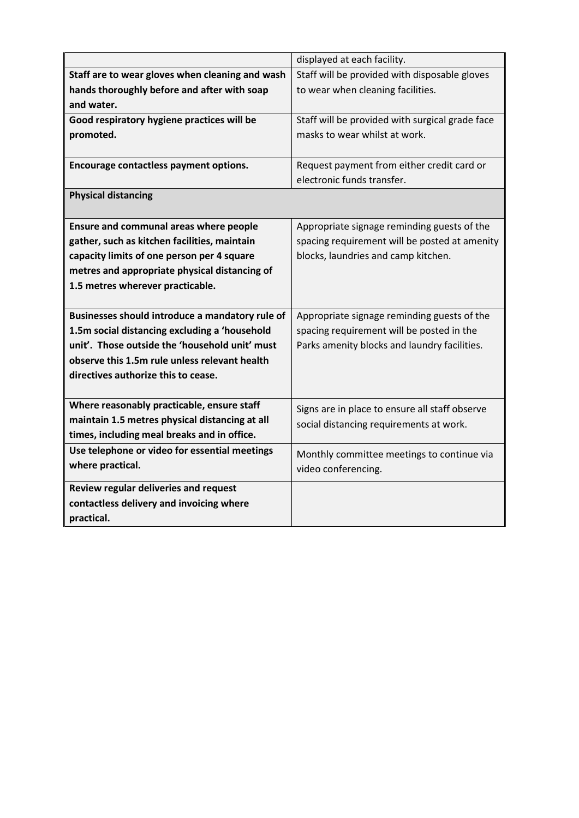|                                                 | displayed at each facility.                     |
|-------------------------------------------------|-------------------------------------------------|
| Staff are to wear gloves when cleaning and wash | Staff will be provided with disposable gloves   |
| hands thoroughly before and after with soap     | to wear when cleaning facilities.               |
| and water.                                      |                                                 |
| Good respiratory hygiene practices will be      | Staff will be provided with surgical grade face |
| promoted.                                       | masks to wear whilst at work.                   |
|                                                 |                                                 |
| Encourage contactless payment options.          | Request payment from either credit card or      |
|                                                 | electronic funds transfer.                      |
| <b>Physical distancing</b>                      |                                                 |
|                                                 |                                                 |
| Ensure and communal areas where people          | Appropriate signage reminding guests of the     |
| gather, such as kitchen facilities, maintain    | spacing requirement will be posted at amenity   |
| capacity limits of one person per 4 square      | blocks, laundries and camp kitchen.             |
| metres and appropriate physical distancing of   |                                                 |
| 1.5 metres wherever practicable.                |                                                 |
|                                                 |                                                 |
| Businesses should introduce a mandatory rule of | Appropriate signage reminding guests of the     |
| 1.5m social distancing excluding a 'household   | spacing requirement will be posted in the       |
| unit'. Those outside the 'household unit' must  | Parks amenity blocks and laundry facilities.    |
| observe this 1.5m rule unless relevant health   |                                                 |
| directives authorize this to cease.             |                                                 |
|                                                 |                                                 |
| Where reasonably practicable, ensure staff      | Signs are in place to ensure all staff observe  |
| maintain 1.5 metres physical distancing at all  | social distancing requirements at work.         |
| times, including meal breaks and in office.     |                                                 |
| Use telephone or video for essential meetings   | Monthly committee meetings to continue via      |
| where practical.                                | video conferencing.                             |
| Review regular deliveries and request           |                                                 |
| contactless delivery and invoicing where        |                                                 |
| practical.                                      |                                                 |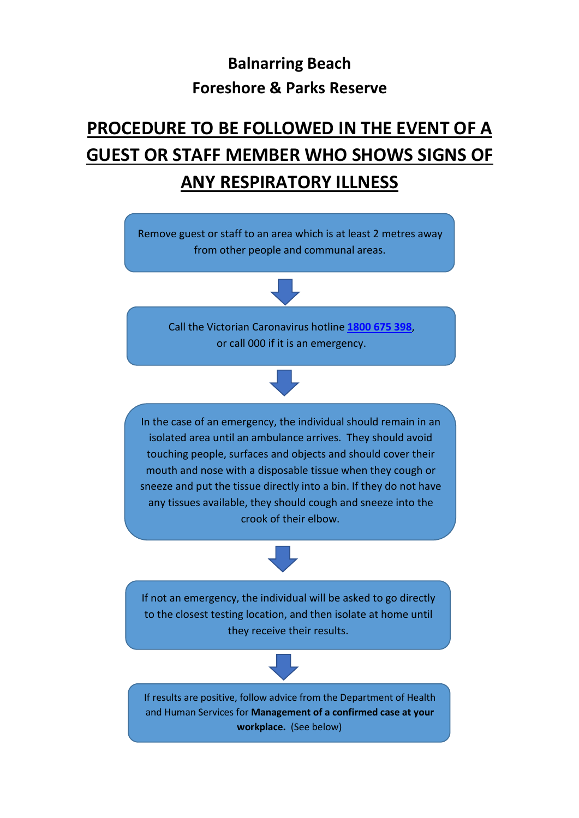# **Balnarring Beach Foreshore & Parks Reserve**

# **PROCEDURE TO BE FOLLOWED IN THE EVENT OF A GUEST OR STAFF MEMBER WHO SHOWS SIGNS OF ANY RESPIRATORY ILLNESS**

Remove guest or staff to an area which is at least 2 metres away from other people and communal areas. If results are positive, follow advice from the Department of Health and Human Services for **Management of a confirmed case at your workplace.** (See below) Call the Victorian Caronavirus hotline **[1800](tel:1800%20675%20398) 675 398**, or call 000 if it is an emergency. If not an emergency, the individual will be asked to go directly to the closest testing location, and then isolate at home until they receive their results. In the case of an emergency, the individual should remain in an isolated area until an ambulance arrives. They should avoid touching people, surfaces and objects and should cover their mouth and nose with a disposable tissue when they cough or sneeze and put the tissue directly into a bin. If they do not have any tissues available, they should cough and sneeze into the crook of their elbow.